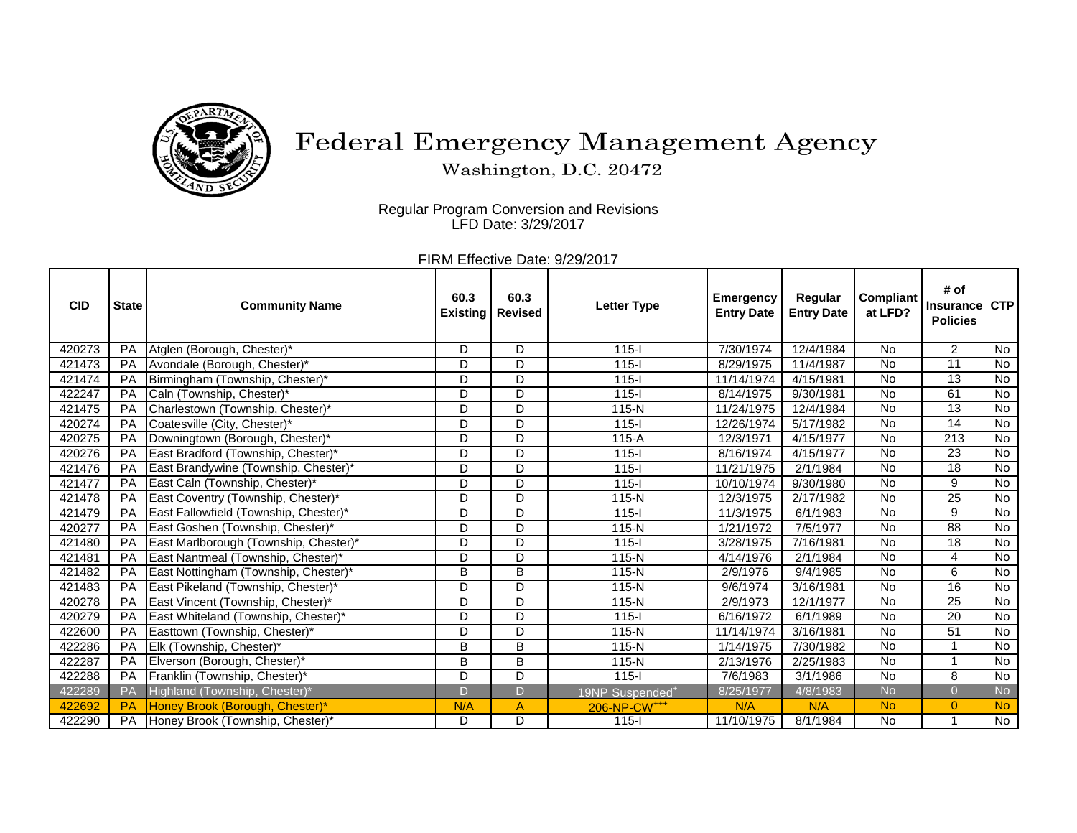

## Federal Emergency Management Agency

Washington, D.C. 20472

Regular Program Conversion and Revisions LFD Date: 3/29/2017

> FIRM Effective Date: 9/29/2017

| <b>CID</b> | <b>State</b> | <b>Community Name</b>                 | 60.3<br><b>Existing</b> | 60.3<br><b>Revised</b> | <b>Letter Type</b>          | <b>Emergency</b><br><b>Entry Date</b> | Regular<br><b>Entry Date</b> | <b>Compliant</b><br>at LFD? | # of<br><b>Insurance</b><br><b>Policies</b> | <b>CTP</b> |
|------------|--------------|---------------------------------------|-------------------------|------------------------|-----------------------------|---------------------------------------|------------------------------|-----------------------------|---------------------------------------------|------------|
| 420273     | <b>PA</b>    | Atglen (Borough, Chester)*            | D                       | D                      | $115 -$                     | 7/30/1974                             | 12/4/1984                    | <b>No</b>                   | $\overline{2}$                              | No         |
| 421473     | <b>PA</b>    | Avondale (Borough, Chester)*          | D                       | D                      | $115 -$                     | 8/29/1975                             | 11/4/1987                    | <b>No</b>                   | 11                                          | No         |
| 421474     | PA           | Birmingham (Township, Chester)*       | D                       | D                      | $115 -$                     | 11/14/1974                            | 4/15/1981                    | <b>No</b>                   | 13                                          | No         |
| 422247     | PA           | Caln (Township, Chester)*             | D                       | D                      | $115 -$                     | 8/14/1975                             | 9/30/1981                    | <b>No</b>                   | 61                                          | No         |
| 421475     | <b>PA</b>    | Charlestown (Township, Chester)*      | D                       | D                      | $115-N$                     | 11/24/1975                            | 12/4/1984                    | <b>No</b>                   | 13                                          | No         |
| 420274     | PA           | Coatesville (City, Chester)*          | D                       | D                      | $115 -$                     | 12/26/1974                            | 5/17/1982                    | <b>No</b>                   | $\overline{14}$                             | No         |
| 420275     | PA           | Downingtown (Borough, Chester)*       | D                       | D                      | $115-A$                     | 12/3/1971                             | 4/15/1977                    | <b>No</b>                   | 213                                         | No         |
| 420276     | PA           | East Bradford (Township, Chester)*    | D                       | D                      | $115 -$                     | 8/16/1974                             | 4/15/1977                    | <b>No</b>                   | 23                                          | No         |
| 421476     | PA           | East Brandywine (Township, Chester)*  | D                       | D                      | $115 -$                     | 11/21/1975                            | 2/1/1984                     | <b>No</b>                   | $\overline{18}$                             | No         |
| 421477     | PA           | East Caln (Township, Chester)*        | D                       | D                      | $115 -$                     | 10/10/1974                            | 9/30/1980                    | <b>No</b>                   | 9                                           | No         |
| 421478     | <b>PA</b>    | East Coventry (Township, Chester)*    | D                       | D                      | $115-N$                     | 12/3/1975                             | 2/17/1982                    | <b>No</b>                   | $\overline{25}$                             | No         |
| 421479     | PA           | East Fallowfield (Township, Chester)* | D                       | D                      | $115 -$                     | 11/3/1975                             | 6/1/1983                     | <b>No</b>                   | 9                                           | No         |
| 420277     | PA           | East Goshen (Township, Chester)*      | D                       | D                      | 115-N                       | 1/21/1972                             | 7/5/1977                     | <b>No</b>                   | $\overline{88}$                             | No         |
| 421480     | <b>PA</b>    | East Marlborough (Township, Chester)* | D                       | D                      | $115 -$                     | 3/28/1975                             | 7/16/1981                    | <b>No</b>                   | 18                                          | No         |
| 421481     | PA           | East Nantmeal (Township, Chester)*    | D                       | D                      | $115-N$                     | 4/14/1976                             | 2/1/1984                     | $\overline{N}$              | 4                                           | No         |
| 421482     | <b>PA</b>    | East Nottingham (Township, Chester)*  | B                       | B                      | $115-N$                     | 2/9/1976                              | 9/4/1985                     | <b>No</b>                   | 6                                           | No         |
| 421483     | PA           | East Pikeland (Township, Chester)*    | D                       | D                      | $115-N$                     | 9/6/1974                              | 3/16/1981                    | <b>No</b>                   | $\overline{16}$                             | No         |
| 420278     | PA           | East Vincent (Township, Chester)*     | D                       | D                      | 115-N                       | 2/9/1973                              | 12/1/1977                    | <b>No</b>                   | 25                                          | <b>No</b>  |
| 420279     | PA           | East Whiteland (Township, Chester)*   | D                       | D                      | $115 -$                     | 6/16/1972                             | 6/1/1989                     | <b>No</b>                   | 20                                          | No         |
| 422600     | PA           | Easttown (Township, Chester)*         | D                       | D                      | $115-N$                     | 11/14/1974                            | 3/16/1981                    | <b>No</b>                   | 51                                          | No         |
| 422286     | <b>PA</b>    | Elk (Township, Chester)*              | B                       | B                      | $115-N$                     | 1/14/1975                             | 7/30/1982                    | <b>No</b>                   | 1                                           | No         |
| 422287     | PA           | Elverson (Borough, Chester)*          | B                       | B                      | 115-N                       | 2/13/1976                             | 2/25/1983                    | <b>No</b>                   | 1                                           | No         |
| 422288     | <b>PA</b>    | Franklin (Township, Chester)*         | D                       | D                      | $115 -$                     | 7/6/1983                              | 3/1/1986                     | <b>No</b>                   | 8                                           | No         |
| 422289     | PA           | Highland (Township, Chester)*         | D                       | D                      | 19NP Suspended <sup>+</sup> | 8/25/1977                             | 4/8/1983                     | <b>No</b>                   | $\overline{0}$                              | <b>No</b>  |
| 422692     | <b>PA</b>    | Honey Brook (Borough, Chester)*       | N/A                     | A                      | 206-NP-CW <sup>+++</sup>    | N/A                                   | N/A                          | <b>No</b>                   | $\Omega$                                    | No.        |
| 422290     | PA           | Honey Brook (Township, Chester)*      | D.                      | D                      | $115 -$                     | 11/10/1975                            | 8/1/1984                     | <b>No</b>                   | 1                                           | No         |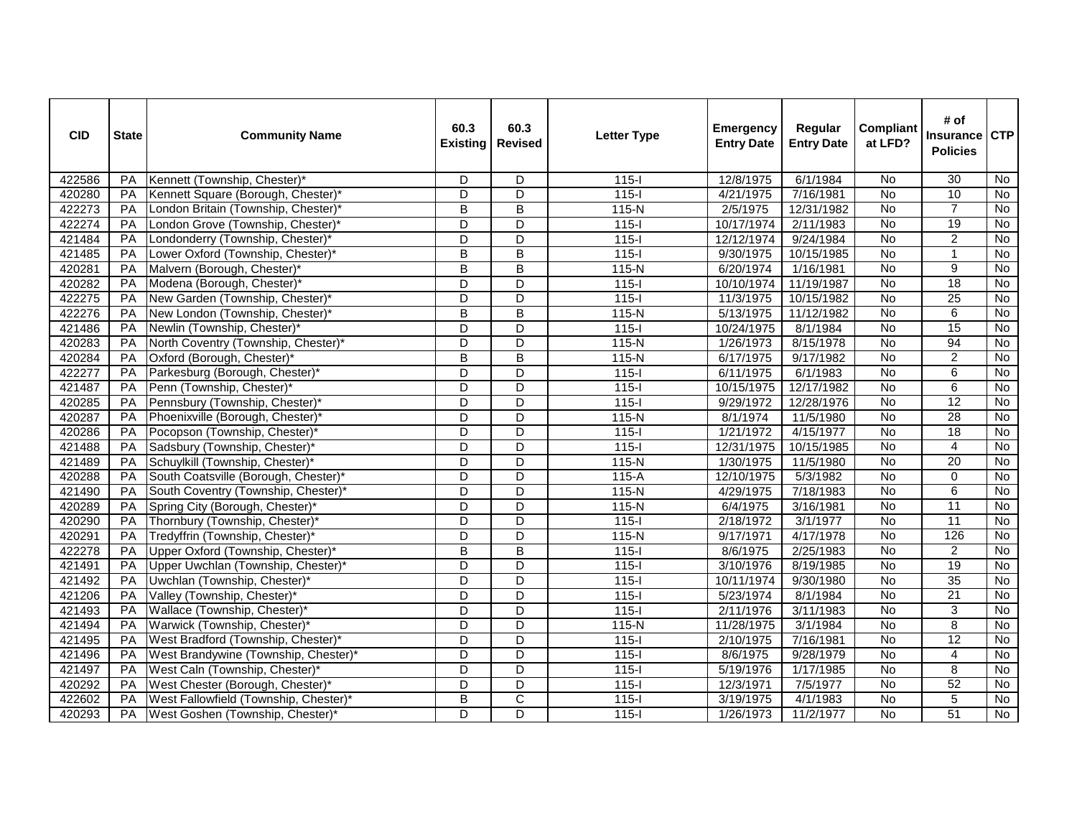| <b>CID</b> | <b>State</b> | <b>Community Name</b>                 | 60.3<br><b>Existing</b> | 60.3<br><b>Revised</b>  | <b>Letter Type</b> | <b>Emergency</b><br><b>Entry Date</b> | Regular<br><b>Entry Date</b> | <b>Compliant</b><br>at LFD? | # of<br><b>Insurance</b><br><b>Policies</b> | <b>CTP</b>     |
|------------|--------------|---------------------------------------|-------------------------|-------------------------|--------------------|---------------------------------------|------------------------------|-----------------------------|---------------------------------------------|----------------|
| 422586     | PA           | Kennett (Township, Chester)*          | D                       | D                       | $115 -$            | 12/8/1975                             | 6/1/1984                     | <b>No</b>                   | 30                                          | <b>No</b>      |
| 420280     | PA           | Kennett Square (Borough, Chester)*    | D                       | $\overline{D}$          | $115 -$            | 4/21/1975                             | 7/16/1981                    | No                          | 10                                          | No             |
| 422273     | PA           | London Britain (Township, Chester)*   | B                       | B                       | 115-N              | 2/5/1975                              | 12/31/1982                   | No                          | $\overline{7}$                              | No             |
| 422274     | <b>PA</b>    | London Grove (Township, Chester)*     | D                       | D                       | $115-I$            | 10/17/1974                            | 2/11/1983                    | No                          | 19                                          | No             |
| 421484     | PA           | Londonderry (Township, Chester)*      | D                       | $\overline{D}$          | $115 -$            | 12/12/1974                            | 9/24/1984                    | <b>No</b>                   | $\overline{2}$                              | No             |
| 421485     | PA           | Lower Oxford (Township, Chester)*     | В                       | B                       | $115 -$            | 9/30/1975                             | 10/15/1985                   | <b>No</b>                   | $\mathbf{1}$                                | $\overline{N}$ |
| 420281     | PA           | Malvern (Borough, Chester)*           | B                       | B                       | $115-N$            | 6/20/1974                             | 1/16/1981                    | <b>No</b>                   | 9                                           | $\overline{N}$ |
| 420282     | PA           | Modena (Borough, Chester)*            | $\overline{\mathsf{D}}$ | $\overline{\mathsf{D}}$ | $115 -$            | 10/10/1974                            | 11/19/1987                   | <b>No</b>                   | 18                                          | $\overline{N}$ |
| 422275     | PA           | New Garden (Township, Chester)*       | $\overline{D}$          | $\overline{D}$          | $115 -$            | 11/3/1975                             | 10/15/1982                   | No                          | 25                                          | No             |
| 422276     | <b>PA</b>    | New London (Township, Chester)*       | B                       | $\overline{B}$          | $115-N$            | 5/13/1975                             | 11/12/1982                   | $\overline{N}$              | 6                                           | <b>No</b>      |
| 421486     | <b>PA</b>    | Newlin (Township, Chester)*           | D                       | D                       | $115 -$            | 10/24/1975                            | 8/1/1984                     | $\overline{N}$              | $\overline{15}$                             | No             |
| 420283     | PA           | North Coventry (Township, Chester)*   | D                       | D                       | $115-N$            | 1/26/1973                             | 8/15/1978                    | No                          | 94                                          | No             |
| 420284     | PA           | Oxford (Borough, Chester)*            | В                       | $\overline{B}$          | $115-N$            | 6/17/1975                             | 9/17/1982                    | No                          | $\overline{c}$                              | $\overline{N}$ |
| 422277     | PA           | Parkesburg (Borough, Chester)*        | D                       | D                       | $115 -$            | 6/11/1975                             | 6/1/1983                     | <b>No</b>                   | 6                                           | No             |
| 421487     | <b>PA</b>    | Penn (Township, Chester)*             | D                       | D                       | $115 -$            | 10/15/1975                            | 12/17/1982                   | No                          | 6                                           | No             |
| 420285     | PA           | Pennsbury (Township, Chester)*        | D                       | $\overline{D}$          | $115 -$            | 9/29/1972                             | 12/28/1976                   | <b>No</b>                   | 12                                          | No             |
| 420287     | PA           | Phoenixville (Borough, Chester)*      | D                       | $\overline{D}$          | $115-N$            | 8/1/1974                              | 11/5/1980                    | <b>No</b>                   | 28                                          | <b>No</b>      |
| 420286     | PA           | Pocopson (Township, Chester)*         | D                       | $\overline{D}$          | $115 -$            | 1/21/1972                             | 4/15/1977                    | <b>No</b>                   | 18                                          | No             |
| 421488     | PA           | Sadsbury (Township, Chester)*         | D                       | $\overline{D}$          | $115 -$            | 12/31/1975                            | 10/15/1985                   | $\overline{N}$              | $\overline{4}$                              | <b>No</b>      |
| 421489     | PA           | Schuylkill (Township, Chester)*       | $\overline{D}$          | $\overline{D}$          | $115-N$            | 1/30/1975                             | 11/5/1980                    | <b>No</b>                   | 20                                          | No             |
| 420288     | PA           | South Coatsville (Borough, Chester)*  | D                       | $\overline{D}$          | $115-A$            | 12/10/1975                            | 5/3/1982                     | No                          | $\Omega$                                    | No             |
| 421490     | <b>PA</b>    | South Coventry (Township, Chester)*   | D                       | D                       | $115-N$            | 4/29/1975                             | 7/18/1983                    | <b>No</b>                   | 6                                           | No             |
| 420289     | PA           | Spring City (Borough, Chester)*       | D                       | $\overline{D}$          | $115-N$            | 6/4/1975                              | 3/16/1981                    | $\overline{N}$              | 11                                          | $\overline{N}$ |
| 420290     | PA           | Thornbury (Township, Chester)*        | D                       | D                       | $115 -$            | 2/18/1972                             | 3/1/1977                     | <b>No</b>                   | 11                                          | <b>No</b>      |
| 420291     | PA           | Tredyffrin (Township, Chester)*       | D                       | D                       | 115-N              | 9/17/1971                             | 4/17/1978                    | <b>No</b>                   | 126                                         | No             |
| 422278     | <b>PA</b>    | Upper Oxford (Township, Chester)*     | B                       | B                       | $115 -$            | 8/6/1975                              | 2/25/1983                    | $\overline{N}$              | $\overline{2}$                              | <b>No</b>      |
| 421491     | PA           | Upper Uwchlan (Township, Chester)*    | D                       | $\overline{D}$          | $115 -$            | 3/10/1976                             | 8/19/1985                    | No                          | 19                                          | No             |
| 421492     | PA           | Uwchlan (Township, Chester)*          | D                       | $\overline{\mathsf{D}}$ | $115 -$            | 10/11/1974                            | 9/30/1980                    | <b>No</b>                   | 35                                          | <b>No</b>      |
| 421206     | PA           | Valley (Township, Chester)*           | D                       | $\overline{D}$          | $115 -$            | 5/23/1974                             | 8/1/1984                     | $\overline{N}$              | $\overline{21}$                             | No             |
| 421493     | PA           | Wallace (Township, Chester)*          | D                       | $\overline{D}$          | $115 -$            | 2/11/1976                             | 3/11/1983                    | $\overline{N}$              | 3                                           | <b>No</b>      |
| 421494     | PA           | Warwick (Township, Chester)*          | $\overline{D}$          | $\overline{D}$          | $115-N$            | 11/28/1975                            | 3/1/1984                     | No                          | $\overline{8}$                              | No             |
| 421495     | PA           | West Bradford (Township, Chester)*    | $\overline{D}$          | $\overline{\mathsf{D}}$ | $115 -$            | 2/10/1975                             | 7/16/1981                    | <b>No</b>                   | 12                                          | No             |
| 421496     | PA           | West Brandywine (Township, Chester)*  | $\overline{D}$          | $\overline{D}$          | $115 -$            | 8/6/1975                              | 9/28/1979                    | $\overline{N}$              | $\overline{4}$                              | No             |
| 421497     | <b>PA</b>    | West Caln (Township, Chester)*        | D                       | D                       | $115 -$            | 5/19/1976                             | 1/17/1985                    | No                          | 8                                           | No             |
| 420292     | PA           | West Chester (Borough, Chester)*      | D                       | D                       | $115 -$            | 12/3/1971                             | 7/5/1977                     | <b>No</b>                   | 52                                          | <b>No</b>      |
| 422602     | PA           | West Fallowfield (Township, Chester)* | B                       | $\overline{\mathsf{C}}$ | $115 -$            | 3/19/1975                             | 4/1/1983                     | No                          | 5                                           | $\overline{N}$ |
| 420293     | <b>PA</b>    | West Goshen (Township, Chester)*      | D                       | D                       | $115 -$            | 1/26/1973                             | 11/2/1977                    | $\overline{N}$              | 51                                          | <b>No</b>      |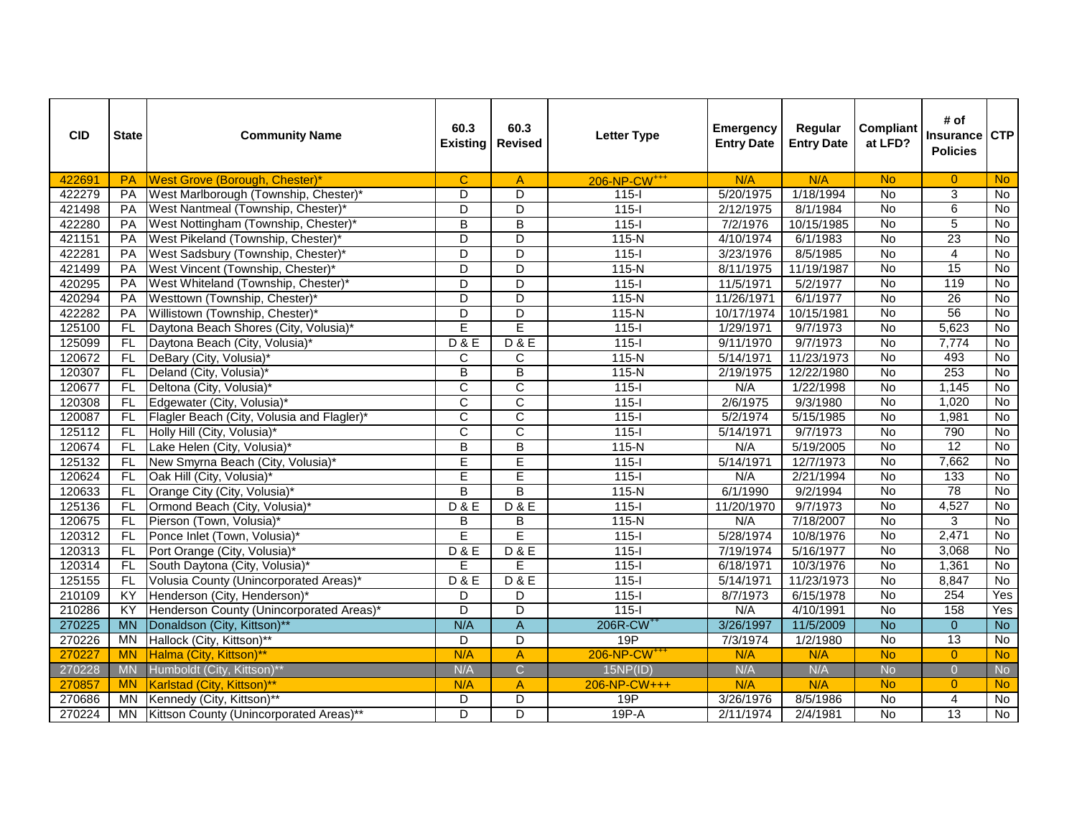| <b>CID</b> | <b>State</b>   | <b>Community Name</b>                      | 60.3<br><b>Existing</b> | 60.3<br><b>Revised</b>  | <b>Letter Type</b>       | <b>Emergency</b><br><b>Entry Date</b> | Regular<br><b>Entry Date</b> | Compliant<br>at LFD? | # of<br><b>Insurance</b><br><b>Policies</b> | <b>CTP</b>     |
|------------|----------------|--------------------------------------------|-------------------------|-------------------------|--------------------------|---------------------------------------|------------------------------|----------------------|---------------------------------------------|----------------|
| 422691     | <b>PA</b>      | West Grove (Borough, Chester)*             | $\mathbf{C}$            | $\mathsf{A}$            | 206-NP-CW <sup>+++</sup> | N/A                                   | N/A                          | <b>No</b>            | $\overline{0}$                              | <b>No</b>      |
| 422279     | PA             | West Marlborough (Township, Chester)*      | D                       | $\overline{D}$          | $115 -$                  | 5/20/1975                             | 1/18/1994                    | $\overline{N}$       | 3                                           | <b>No</b>      |
| 421498     | PA             | West Nantmeal (Township, Chester)*         | D                       | $\overline{D}$          | $115 -$                  | 2/12/1975                             | 8/1/1984                     | <b>No</b>            | 6                                           | No             |
| 422280     | PA             | West Nottingham (Township, Chester)*       | $\overline{B}$          | $\overline{\mathsf{B}}$ | $115 -$                  | 7/2/1976                              | 10/15/1985                   | No                   | $\overline{5}$                              | <b>No</b>      |
| 421151     | PA             | West Pikeland (Township, Chester)*         | D                       | D                       | $115-N$                  | 4/10/1974                             | 6/1/1983                     | No                   | 23                                          | No             |
| 422281     | PA             | West Sadsbury (Township, Chester)*         | D                       | D                       | $115 -$                  | 3/23/1976                             | 8/5/1985                     | No                   | 4                                           | No             |
| 421499     | PA             | West Vincent (Township, Chester)*          | $\overline{\mathsf{D}}$ | $\overline{D}$          | $115-N$                  | 8/11/1975                             | 11/19/1987                   | <b>No</b>            | 15                                          | <b>No</b>      |
| 420295     | PA             | West Whiteland (Township, Chester)*        | D                       | D                       | $115 -$                  | 11/5/1971                             | 5/2/1977                     | $\overline{N}$       | 119                                         | $\overline{N}$ |
| 420294     | PA             | Westtown (Township, Chester)*              | D                       | $\overline{D}$          | $115-N$                  | 11/26/1971                            | 6/1/1977                     | <b>No</b>            | 26                                          | <b>No</b>      |
| 422282     | PA             | Willistown (Township, Chester)*            | $\overline{\mathsf{D}}$ | $\overline{\mathsf{D}}$ | $115-N$                  | 10/17/1974                            | 10/15/1981                   | <b>No</b>            | 56                                          | <b>No</b>      |
| 125100     | <b>FL</b>      | Daytona Beach Shores (City, Volusia)*      | E                       | Ē                       | $115 -$                  | 1/29/1971                             | 9/7/1973                     | <b>No</b>            | 5,623                                       | $\overline{N}$ |
| 125099     | FL.            | Daytona Beach (City, Volusia)*             | D & E                   | D & E                   | $115 -$                  | 9/11/1970                             | 9/7/1973                     | No                   | 7,774                                       | No             |
| 120672     | FL             | DeBary (City, Volusia)*                    | C                       | C                       | $115-N$                  | 5/14/1971                             | 11/23/1973                   | <b>No</b>            | 493                                         | <b>No</b>      |
| 120307     | FL             | Deland (City, Volusia)*                    | $\overline{\mathsf{B}}$ | $\overline{\mathsf{B}}$ | $115-N$                  | 2/19/1975                             | 12/22/1980                   | $\overline{N}$       | 253                                         | $\overline{N}$ |
| 120677     | FL.            | Deltona (City, Volusia)*                   | C                       | $\mathsf{C}$            | $115 -$                  | N/A                                   | 1/22/1998                    | No                   | 1,145                                       | No             |
| 120308     | FL             | Edgewater (City, Volusia)*                 | $\overline{\text{c}}$   | $\overline{\text{c}}$   | $115 -$                  | 2/6/1975                              | 9/3/1980                     | <b>No</b>            | 1,020                                       | <b>No</b>      |
| 120087     | FL             | Flagler Beach (City, Volusia and Flagler)* | $\overline{\mathsf{c}}$ | $\overline{\text{c}}$   | $115 -$                  | 5/2/1974                              | 5/15/1985                    | No                   | 1,981                                       | <b>No</b>      |
| 125112     | FL             | Holly Hill (City, Volusia)*                | $\overline{\text{c}}$   | $\overline{\text{c}}$   | $115 -$                  | 5/14/1971                             | 9/7/1973                     | <b>No</b>            | 790                                         | <b>No</b>      |
| 120674     | FL.            | Lake Helen (City, Volusia)*                | $\overline{\mathsf{B}}$ | $\overline{\mathsf{B}}$ | $115-N$                  | N/A                                   | 5/19/2005                    | <b>No</b>            | $\overline{12}$                             | <b>No</b>      |
| 125132     | FL             | New Smyrna Beach (City, Volusia)*          | E                       | Ē                       | $115 -$                  | 5/14/1971                             | 12/7/1973                    | <b>No</b>            | 7,662                                       | <b>No</b>      |
| 120624     | FL.            | Oak Hill (City, Volusia)*                  | E                       | E                       | $115 -$                  | N/A                                   | 2/21/1994                    | No                   | 133                                         | <b>No</b>      |
| 120633     | FL.            | Orange City (City, Volusia)*               | B                       | B                       | $115-N$                  | 6/1/1990                              | 9/2/1994                     | <b>No</b>            | 78                                          | No             |
| 125136     | FL             | Ormond Beach (City, Volusia)*              | D & E                   | D & E                   | $115 -$                  | 11/20/1970                            | 9/7/1973                     | $\overline{N}$       | 4,527                                       | $\overline{N}$ |
| 120675     | FL             | Pierson (Town, Volusia)*                   | B                       | B                       | $115-N$                  | N/A                                   | 7/18/2007                    | $\overline{N}$       | 3                                           | $\overline{N}$ |
| 120312     | FL.            | Ponce Inlet (Town, Volusia)*               | E                       | E                       | $115 -$                  | 5/28/1974                             | 10/8/1976                    | No                   | 2,471                                       | No             |
| 120313     | FL             | Port Orange (City, Volusia)*               | D & E                   | D & E                   | $115 -$                  | 7/19/1974                             | 5/16/1977                    | <b>No</b>            | 3,068                                       | <b>No</b>      |
| 120314     | FL.            | South Daytona (City, Volusia)*             | E                       | E                       | $115 -$                  | 6/18/1971                             | 10/3/1976                    | <b>No</b>            | 1,361                                       | <b>No</b>      |
| 125155     | FL.            | Volusia County (Unincorporated Areas)*     | <b>D&amp;E</b>          | D & E                   | $115 -$                  | 5/14/1971                             | 11/23/1973                   | $\overline{N}$       | 8,847                                       | No             |
| 210109     | KY             | Henderson (City, Henderson)*               | D                       | $\overline{D}$          | $115 -$                  | 8/7/1973                              | 6/15/1978                    | <b>No</b>            | 254                                         | Yes            |
| 210286     | KY             | Henderson County (Unincorporated Areas)*   | D                       | D                       | $115 -$                  | N/A                                   | 4/10/1991                    | No                   | 158                                         | Yes            |
| 270225     | <b>MN</b>      | Donaldson (City, Kittson)**                | N/A                     | $\overline{A}$          | 206R-CW <sup>++</sup>    | 3/26/1997                             | 11/5/2009                    | $\overline{N}$       | $\overline{0}$                              | $\overline{N}$ |
| 270226     | M <sub>N</sub> | Hallock (City, Kittson)**                  | D                       | $\overline{D}$          | 19P                      | 7/3/1974                              | 1/2/1980                     | No                   | $\overline{13}$                             | No             |
| 270227     | <b>MN</b>      | Halma (City, Kittson)**                    | N/A                     | A                       | 206-NP-CW <sup>+++</sup> | N/A                                   | N/A                          | <b>No</b>            | $\Omega$                                    | <b>No</b>      |
| 270228     | <b>MN</b>      | Humboldt (City, Kittson)**                 | N/A                     | Ċ.                      | 15NP(ID)                 | N/A                                   | N/A                          | <b>No</b>            | $\overline{0}$                              | <b>No</b>      |
| 270857     | <b>MN</b>      | Karlstad (City, Kittson)**                 | N/A                     | $\mathsf{A}$            | 206-NP-CW+++             | N/A                                   | N/A                          | <b>No</b>            | $\mathbf{0}$                                | <b>No</b>      |
| 270686     | MN             | Kennedy (City, Kittson)**                  | D                       | $\overline{D}$          | 19P                      | 3/26/1976                             | 8/5/1986                     | $\overline{N}$       | 4                                           | $\overline{N}$ |
| 270224     | MN             | Kittson County (Unincorporated Areas)**    | $\overline{\mathsf{D}}$ | $\overline{D}$          | $19P-A$                  | 2/11/1974                             | 2/4/1981                     | $\overline{N}$       | 13                                          | $\overline{N}$ |